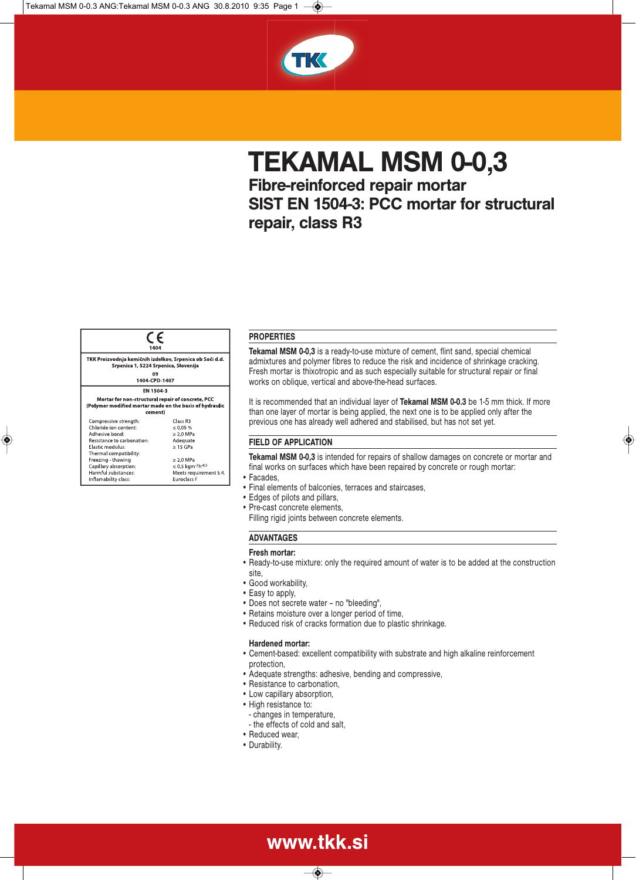

# **TEKAMAL MSM 0-0,3**

**Fibre-reinforced repair mortar SIST EN 1504-3: PCC mortar for structural repair, class R3**



◈

# **PROPERTIES**

**Tekamal MSM 0-0,3** is a ready-to-use mixture of cement, flint sand, special chemical admixtures and polymer fibres to reduce the risk and incidence of shrinkage cracking. Fresh mortar is thixotropic and as such especially suitable for structural repair or final works on oblique, vertical and above-the-head surfaces.

It is recommended that an individual layer of **Tekamal MSM 0-0.3** be 1-5 mm thick. If more than one layer of mortar is being applied, the next one is to be applied only after the previous one has already well adhered and stabilised, but has not set yet.

#### **FIELD OF APPLICATION**

**Tekamal MSM 0-0,3** is intended for repairs of shallow damages on concrete or mortar and final works on surfaces which have been repaired by concrete or rough mortar:

- Facades,
- Final elements of balconies, terraces and staircases,
- Edges of pilots and pillars,
- Pre-cast concrete elements,
- Filling rigid joints between concrete elements.

### **ADVANTAGES**

#### **Fresh mortar:**

• Ready-to-use mixture: only the required amount of water is to be added at the construction site,

- Good workability,
- Easy to apply,
- Does not secrete water no ''bleeding'',
- Retains moisture over a longer period of time,
- Reduced risk of cracks formation due to plastic shrinkage.

#### **Hardened mortar:**

- Cement-based: excellent compatibility with substrate and high alkaline reinforcement protection,
- Adequate strengths: adhesive, bending and compressive,
- Resistance to carbonation,
- Low capillary absorption,
- High resistance to:
	- changes in temperature,
	- the effects of cold and salt,

www.tkk.si

 $\textcolor{blue}{\textcircled{\footnotesize{8}}}$ 

- Reduced wear,
- Durability.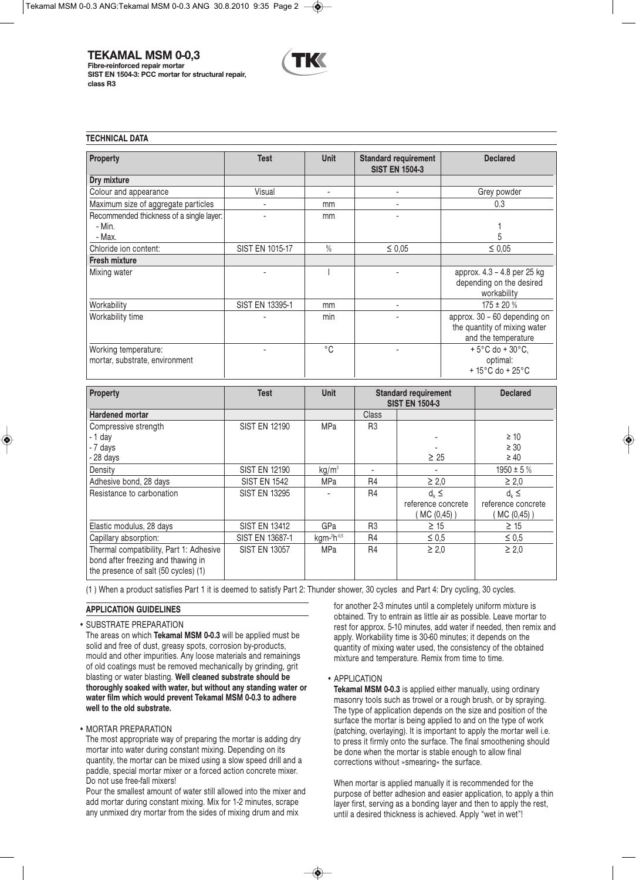**TEKAMAL MSM 0-0,3**

**Fibre-reinforced repair mortar SIST EN 1504-3: PCC mortar for structural repair, class R3**



#### **TECHNICAL DATA**

| Property                                                     | <b>Test</b>     | <b>Unit</b>  | <b>Standard requirement</b><br><b>SIST EN 1504-3</b> | <b>Declared</b>                                                                          |
|--------------------------------------------------------------|-----------------|--------------|------------------------------------------------------|------------------------------------------------------------------------------------------|
| Dry mixture                                                  |                 |              |                                                      |                                                                                          |
| Colour and appearance                                        | Visual          |              |                                                      | Grey powder                                                                              |
| Maximum size of aggregate particles                          |                 | mm           |                                                      | 0.3                                                                                      |
| Recommended thickness of a single layer:<br>- Min.<br>- Max. | ٠               | mm           |                                                      | 5                                                                                        |
| Chloride ion content:                                        | SIST EN 1015-17 | $\%$         | $\leq 0.05$                                          | $\leq 0.05$                                                                              |
| <b>Fresh mixture</b>                                         |                 |              |                                                      |                                                                                          |
| Mixing water                                                 |                 |              |                                                      | approx. 4.3 - 4.8 per 25 kg<br>depending on the desired<br>workability                   |
| Workability                                                  | SIST EN 13395-1 | mm           |                                                      | $175 \pm 20 \%$                                                                          |
| Workability time                                             |                 | min          |                                                      | approx. 30 - 60 depending on<br>the quantity of mixing water<br>and the temperature      |
| Working temperature:<br>mortar, substrate, environment       |                 | $^{\circ}$ C |                                                      | $+5^{\circ}$ C do + 30 $^{\circ}$ C.<br>optimal:<br>$+15^{\circ}$ C do + 25 $^{\circ}$ C |

| <b>Property</b>                                                                                                       | <b>Test</b>          | <b>Unit</b>       | <b>Standard requirement</b><br><b>SIST EN 1504-3</b> |                                | <b>Declared</b>                    |
|-----------------------------------------------------------------------------------------------------------------------|----------------------|-------------------|------------------------------------------------------|--------------------------------|------------------------------------|
| <b>Hardened mortar</b>                                                                                                |                      |                   | Class                                                |                                |                                    |
| Compressive strength                                                                                                  | <b>SIST EN 12190</b> | <b>MPa</b>        | R <sub>3</sub>                                       |                                |                                    |
| - 1 day                                                                                                               |                      |                   |                                                      |                                | $\geq 10$                          |
| - 7 days                                                                                                              |                      |                   |                                                      |                                | $\geq 30$                          |
| - 28 days                                                                                                             |                      |                   |                                                      | $\geq 25$                      | $\geq 40$                          |
| Density                                                                                                               | <b>SIST EN 12190</b> | kg/m <sup>3</sup> |                                                      |                                | $1950 \pm 5 \%$                    |
| Adhesive bond, 28 days                                                                                                | <b>SIST EN 1542</b>  | <b>MPa</b>        | R <sub>4</sub>                                       | $\geq 2.0$                     | $\geq 2.0$                         |
| Resistance to carbonation                                                                                             | <b>SIST EN 13295</b> |                   | <b>R4</b>                                            | $d_k \leq$                     | $d_k \leq$                         |
|                                                                                                                       |                      |                   |                                                      | reference concrete<br>MC(0,45) | reference concrete<br>$MC(0,45)$ ) |
| Elastic modulus, 28 days                                                                                              | <b>SIST EN 13412</b> | GPa               | R <sub>3</sub>                                       | $\geq$ 15                      | $\geq$ 15                          |
| Capillary absorption:                                                                                                 | SIST EN 13687-1      | kgm-2h-0,5        | R <sub>4</sub>                                       | $\leq 0.5$                     | $\leq 0.5$                         |
| Thermal compatibility, Part 1: Adhesive<br>bond after freezing and thawing in<br>the presence of salt (50 cycles) (1) | <b>SIST EN 13057</b> | <b>MPa</b>        | R <sub>4</sub>                                       | $\geq 2.0$                     | $\geq 2.0$                         |

(1 ) When a product satisfies Part 1 it is deemed to satisfy Part 2: Thunder shower, 30 cycles and Part 4: Dry cycling, 30 cycles.

◈

## **APPLICATION GUIDELINES**

• SUBSTRATE PREPARATION

The areas on which **Tekamal MSM 0-0.3** will be applied must be solid and free of dust, greasy spots, corrosion by-products, mould and other impurities. Any loose materials and remainings of old coatings must be removed mechanically by grinding, grit blasting or water blasting. **Well cleaned substrate should be thoroughly soaked with water, but without any standing water or water film which would prevent Tekamal MSM 0-0.3 to adhere well to the old substrate.**

## • MORTAR PREPARATION

The most appropriate way of preparing the mortar is adding dry mortar into water during constant mixing. Depending on its quantity, the mortar can be mixed using a slow speed drill and a paddle, special mortar mixer or a forced action concrete mixer. Do not use free-fall mixers!

Pour the smallest amount of water still allowed into the mixer and add mortar during constant mixing. Mix for 1-2 minutes, scrape any unmixed dry mortar from the sides of mixing drum and mix

for another 2-3 minutes until a completely uniform mixture is obtained. Try to entrain as little air as possible. Leave mortar to rest for approx. 5-10 minutes, add water if needed, then remix and apply. Workability time is 30-60 minutes; it depends on the quantity of mixing water used, the consistency of the obtained mixture and temperature. Remix from time to time.

• APPLICATION

**Tekamal MSM 0-0.3** is applied either manually, using ordinary masonry tools such as trowel or a rough brush, or by spraying. The type of application depends on the size and position of the surface the mortar is being applied to and on the type of work (patching, overlaying). It is important to apply the mortar well i.e. to press it firmly onto the surface. The final smoothening should be done when the mortar is stable enough to allow final corrections without »smearing« the surface.

When mortar is applied manually it is recommended for the purpose of better adhesion and easier application, to apply a thin layer first, serving as a bonding layer and then to apply the rest, until a desired thickness is achieved. Apply "wet in wet"!